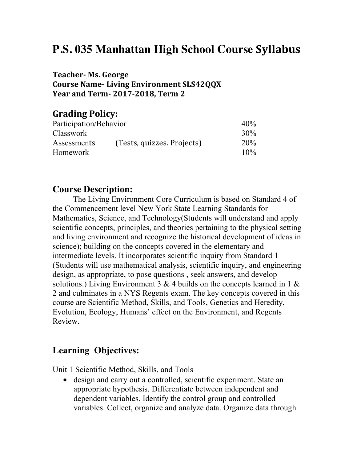# **P.S. 035 Manhattan High School Course Syllabus**

#### **Teacher- Ms. George Course Name- Living Environment SLS42QQX Year and Term- 2017-2018, Term 2**

### **Grading Policy:**

|                            | 40%                    |
|----------------------------|------------------------|
|                            | $30\%$                 |
| (Tests, quizzes. Projects) | 20%                    |
|                            | 10%                    |
|                            | Participation/Behavior |

#### **Course Description:**

The Living Environment Core Curriculum is based on Standard 4 of the Commencement level New York State Learning Standards for Mathematics, Science, and Technology(Students will understand and apply scientific concepts, principles, and theories pertaining to the physical setting and living environment and recognize the historical development of ideas in science); building on the concepts covered in the elementary and intermediate levels. It incorporates scientific inquiry from Standard 1 (Students will use mathematical analysis, scientific inquiry, and engineering design, as appropriate, to pose questions , seek answers, and develop solutions.) Living Environment 3  $\&$  4 builds on the concepts learned in 1  $\&$ 2 and culminates in a NYS Regents exam. The key concepts covered in this course are Scientific Method, Skills, and Tools, Genetics and Heredity, Evolution, Ecology, Humans' effect on the Environment, and Regents Review.

## **Learning Objectives:**

Unit 1 Scientific Method, Skills, and Tools

• design and carry out a controlled, scientific experiment. State an appropriate hypothesis. Differentiate between independent and dependent variables. Identify the control group and controlled variables. Collect, organize and analyze data. Organize data through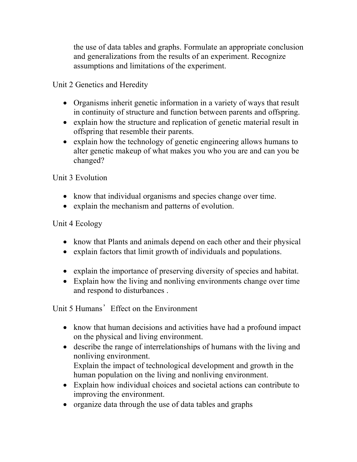the use of data tables and graphs. Formulate an appropriate conclusion and generalizations from the results of an experiment. Recognize assumptions and limitations of the experiment.

Unit 2 Genetics and Heredity

- Organisms inherit genetic information in a variety of ways that result in continuity of structure and function between parents and offspring.
- explain how the structure and replication of genetic material result in offspring that resemble their parents.
- explain how the technology of genetic engineering allows humans to alter genetic makeup of what makes you who you are and can you be changed?

Unit 3 Evolution

- know that individual organisms and species change over time.
- explain the mechanism and patterns of evolution.

Unit 4 Ecology

- know that Plants and animals depend on each other and their physical
- explain factors that limit growth of individuals and populations.
- explain the importance of preserving diversity of species and habitat.
- Explain how the living and nonliving environments change over time and respond to disturbances .

Unit 5 Humans<sup>'</sup> Effect on the Environment

- know that human decisions and activities have had a profound impact on the physical and living environment.
- describe the range of interrelationships of humans with the living and nonliving environment. Explain the impact of technological development and growth in the human population on the living and nonliving environment.
- Explain how individual choices and societal actions can contribute to improving the environment.
- organize data through the use of data tables and graphs